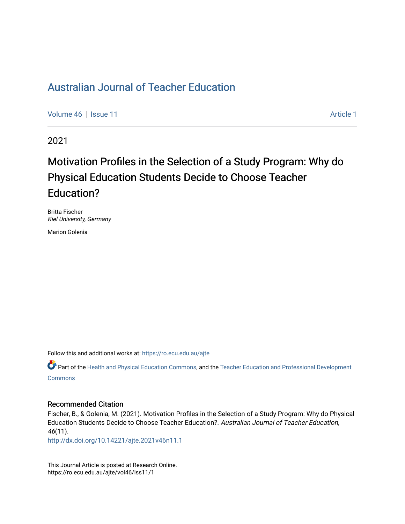[Volume 46](https://ro.ecu.edu.au/ajte/vol46) | [Issue 11](https://ro.ecu.edu.au/ajte/vol46/iss11) Article 1

2021

# Motivation Profiles in the Selection of a Study Program: Why do Physical Education Students Decide to Choose Teacher Education?

Britta Fischer Kiel University, Germany

Marion Golenia

Follow this and additional works at: [https://ro.ecu.edu.au/ajte](https://ro.ecu.edu.au/ajte?utm_source=ro.ecu.edu.au%2Fajte%2Fvol46%2Fiss11%2F1&utm_medium=PDF&utm_campaign=PDFCoverPages) 

Part of the [Health and Physical Education Commons,](http://network.bepress.com/hgg/discipline/1327?utm_source=ro.ecu.edu.au%2Fajte%2Fvol46%2Fiss11%2F1&utm_medium=PDF&utm_campaign=PDFCoverPages) and the Teacher Education and Professional Development **Commons** 

#### Recommended Citation

Fischer, B., & Golenia, M. (2021). Motivation Profiles in the Selection of a Study Program: Why do Physical Education Students Decide to Choose Teacher Education?. Australian Journal of Teacher Education, 46(11).

<http://dx.doi.org/10.14221/ajte.2021v46n11.1>

This Journal Article is posted at Research Online. https://ro.ecu.edu.au/ajte/vol46/iss11/1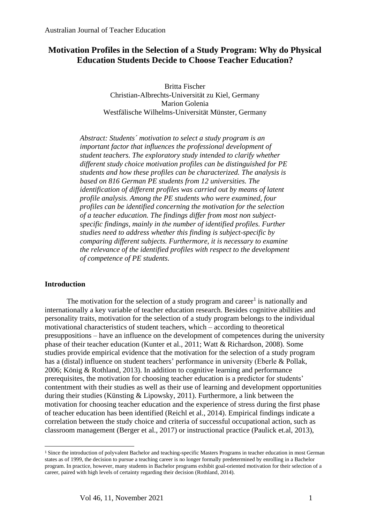## **Motivation Profiles in the Selection of a Study Program: Why do Physical Education Students Decide to Choose Teacher Education?**

Britta Fischer Christian-Albrechts-Universität zu Kiel, Germany Marion Golenia Westfälische Wilhelms-Universität Münster, Germany

*Abstract: Students´ motivation to select a study program is an important factor that influences the professional development of student teachers. The exploratory study intended to clarify whether different study choice motivation profiles can be distinguished for PE students and how these profiles can be characterized. The analysis is based on 816 German PE students from 12 universities. The identification of different profiles was carried out by means of latent profile analysis. Among the PE students who were examined, four profiles can be identified concerning the motivation for the selection of a teacher education. The findings differ from most non subjectspecific findings, mainly in the number of identified profiles. Further studies need to address whether this finding is subject-specific by comparing different subjects. Furthermore, it is necessary to examine the relevance of the identified profiles with respect to the development of competence of PE students.*

## **Introduction**

The motivation for the selection of a study program and career<sup>1</sup> is nationally and internationally a key variable of teacher education research. Besides cognitive abilities and personality traits, motivation for the selection of a study program belongs to the individual motivational characteristics of student teachers, which – according to theoretical presuppositions – have an influence on the development of competences during the university phase of their teacher education (Kunter et al., 2011; Watt & Richardson, 2008). Some studies provide empirical evidence that the motivation for the selection of a study program has a (distal) influence on student teachers' performance in university (Eberle & Pollak, 2006; König & Rothland, 2013). In addition to cognitive learning and performance prerequisites, the motivation for choosing teacher education is a predictor for students' contentment with their studies as well as their use of learning and development opportunities during their studies (Künsting & Lipowsky, 2011). Furthermore, a link between the motivation for choosing teacher education and the experience of stress during the first phase of teacher education has been identified (Reichl et al., 2014). Empirical findings indicate a correlation between the study choice and criteria of successful occupational action, such as classroom management (Berger et al., 2017) or instructional practice (Paulick et.al, 2013),

<sup>&</sup>lt;sup>1</sup> Since the introduction of polyvalent Bachelor and teaching-specific Masters Programs in teacher education in most German states as of 1999, the decision to pursue a teaching career is no longer formally predetermined by enrolling in a Bachelor program. In practice, however, many students in Bachelor programs exhibit goal-oriented motivation for their selection of a career, paired with high levels of certainty regarding their decision (Rothland, 2014).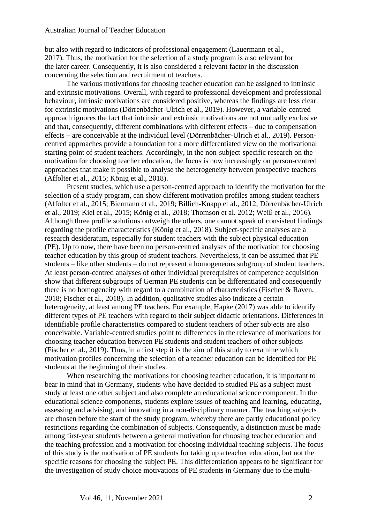but also with regard to indicators of professional engagement (Lauermann et al., 2017). Thus, the motivation for the selection of a study program is also relevant for the later career. Consequently, it is also considered a relevant factor in the discussion concerning the selection and recruitment of teachers.

The various motivations for choosing teacher education can be assigned to intrinsic and extrinsic motivations. Overall, with regard to professional development and professional behaviour, intrinsic motivations are considered positive, whereas the findings are less clear for extrinsic motivations (Dörrenbächer-Ulrich et al., 2019). However, a variable-centred approach ignores the fact that intrinsic and extrinsic motivations are not mutually exclusive and that, consequently, different combinations with different effects – due to compensation effects – are conceivable at the individual level (Dörrenbächer-Ulrich et al., 2019). Personcentred approaches provide a foundation for a more differentiated view on the motivational starting point of student teachers. Accordingly, in the non-subject-specific research on the motivation for choosing teacher education, the focus is now increasingly on person-centred approaches that make it possible to analyse the heterogeneity between prospective teachers (Affolter et al., 2015; König et al., 2018).

Present studies, which use a person-centred approach to identify the motivation for the selection of a study program, can show different motivation profiles among student teachers (Affolter et al., 2015; Biermann et al., 2019; Billich-Knapp et al., 2012; Dörrenbächer-Ulrich et al., 2019; Kiel et al., 2015; König et al., 2018; Thomson et al. 2012; Weiß et al., 2016). Although three profile solutions outweigh the others, one cannot speak of consistent findings regarding the profile characteristics (König et al., 2018). Subject-specific analyses are a research desideratum, especially for student teachers with the subject physical education (PE). Up to now, there have been no person-centred analyses of the motivation for choosing teacher education by this group of student teachers. Nevertheless, it can be assumed that PE students – like other students – do not represent a homogeneous subgroup of student teachers. At least person-centred analyses of other individual prerequisites of competence acquisition show that different subgroups of German PE students can be differentiated and consequently there is no homogeneity with regard to a combination of characteristics (Fischer & Raven, 2018; Fischer et al., 2018). In addition, qualitative studies also indicate a certain heterogeneity, at least among PE teachers. For example, Hapke (2017) was able to identify different types of PE teachers with regard to their subject didactic orientations. Differences in identifiable profile characteristics compared to student teachers of other subjects are also conceivable. Variable-centred studies point to differences in the relevance of motivations for choosing teacher education between PE students and student teachers of other subjects (Fischer et al., 2019). Thus, in a first step it is the aim of this study to examine which motivation profiles concerning the selection of a teacher education can be identified for PE students at the beginning of their studies.

When researching the motivations for choosing teacher education, it is important to bear in mind that in Germany, students who have decided to studied PE as a subject must study at least one other subject and also complete an educational science component. In the educational science components, students explore issues of teaching and learning, educating, assessing and advising, and innovating in a non-disciplinary manner. The teaching subjects are chosen before the start of the study program, whereby there are partly educational policy restrictions regarding the combination of subjects. Consequently, a distinction must be made among first-year students between a general motivation for choosing teacher education and the teaching profession and a motivation for choosing individual teaching subjects. The focus of this study is the motivation of PE students for taking up a teacher education, but not the specific reasons for choosing the subject PE. This differentiation appears to be significant for the investigation of study choice motivations of PE students in Germany due to the multi-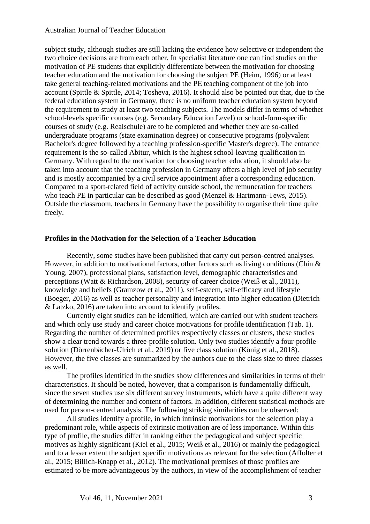subject study, although studies are still lacking the evidence how selective or independent the two choice decisions are from each other. In specialist literature one can find studies on the motivation of PE students that explicitly differentiate between the motivation for choosing teacher education and the motivation for choosing the subject PE (Heim, 1996) or at least take general teaching-related motivations and the PE teaching component of the job into account (Spittle & Spittle, 2014; Tosheva, 2016). It should also be pointed out that, due to the federal education system in Germany, there is no uniform teacher education system beyond the requirement to study at least two teaching subjects. The models differ in terms of whether school-levels specific courses (e.g. Secondary Education Level) or school-form-specific courses of study (e.g. Realschule) are to be completed and whether they are so-called undergraduate programs (state examination degree) or consecutive programs (polyvalent Bachelor's degree followed by a teaching profession-specific Master's degree). The entrance requirement is the so-called Abitur, which is the highest school-leaving qualification in Germany. With regard to the motivation for choosing teacher education, it should also be taken into account that the teaching profession in Germany offers a high level of job security and is mostly accompanied by a civil service appointment after a corresponding education. Compared to a sport-related field of activity outside school, the remuneration for teachers who teach PE in particular can be described as good (Menzel & Hartmann-Tews, 2015). Outside the classroom, teachers in Germany have the possibility to organise their time quite freely.

#### **Profiles in the Motivation for the Selection of a Teacher Education**

Recently, some studies have been published that carry out person-centred analyses. However, in addition to motivational factors, other factors such as living conditions (Chin  $\&$ Young, 2007), professional plans, satisfaction level, demographic characteristics and perceptions (Watt & Richardson, 2008), security of career choice (Weiß et al., 2011), knowledge and beliefs (Gramzow et al., 2011), self-esteem, self-efficacy and lifestyle (Boeger, 2016) as well as teacher personality and integration into higher education (Dietrich & Latzko, 2016) are taken into account to identify profiles.

Currently eight studies can be identified, which are carried out with student teachers and which only use study and career choice motivations for profile identification (Tab. 1). Regarding the number of determined profiles respectively classes or clusters, these studies show a clear trend towards a three-profile solution. Only two studies identify a four-profile solution (Dörrenbächer-Ulrich et al., 2019) or five class solution (König et al., 2018). However, the five classes are summarized by the authors due to the class size to three classes as well.

The profiles identified in the studies show differences and similarities in terms of their characteristics. It should be noted, however, that a comparison is fundamentally difficult, since the seven studies use six different survey instruments, which have a quite different way of determining the number and content of factors. In addition, different statistical methods are used for person-centred analysis. The following striking similarities can be observed:

All studies identify a profile, in which intrinsic motivations for the selection play a predominant role, while aspects of extrinsic motivation are of less importance. Within this type of profile, the studies differ in ranking either the pedagogical and subject specific motives as highly significant (Kiel et al., 2015; Weiß et al., 2016) or mainly the pedagogical and to a lesser extent the subject specific motivations as relevant for the selection (Affolter et al., 2015; Billich-Knapp et al., 2012). The motivational premises of those profiles are estimated to be more advantageous by the authors, in view of the accomplishment of teacher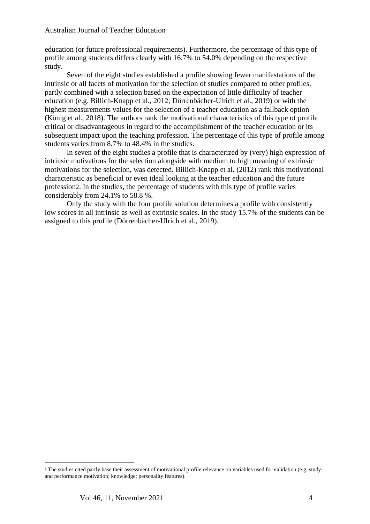education (or future professional requirements). Furthermore, the percentage of this type of profile among students differs clearly with 16.7% to 54.0% depending on the respective study.

Seven of the eight studies established a profile showing fewer manifestations of the intrinsic or all facets of motivation for the selection of studies compared to other profiles, partly combined with a selection based on the expectation of little difficulty of teacher education (e.g. Billich-Knapp et al., 2012; Dörrenbächer-Ulrich et al., 2019) or with the highest measurements values for the selection of a teacher education as a fallback option (König et al., 2018). The authors rank the motivational characteristics of this type of profile critical or disadvantageous in regard to the accomplishment of the teacher education or its subsequent impact upon the teaching profession. The percentage of this type of profile among students varies from 8.7% to 48.4% in the studies.

In seven of the eight studies a profile that is characterized by (very) high expression of intrinsic motivations for the selection alongside with medium to high meaning of extrinsic motivations for the selection, was detected. Billich-Knapp et al. (2012) rank this motivational characteristic as beneficial or even ideal looking at the teacher education and the future profession2. In the studies, the percentage of students with this type of profile varies considerably from 24.1% to 58.8 %.

Only the study with the four profile solution determines a profile with consistently low scores in all intrinsic as well as extrinsic scales. In the study 15.7% of the students can be assigned to this profile (Dörrenbächer-Ulrich et al., 2019).

<sup>2</sup> The studies cited partly base their assessment of motivational profile relevance on variables used for validation (e.g. studyand performance motivation; knowledge; personality features).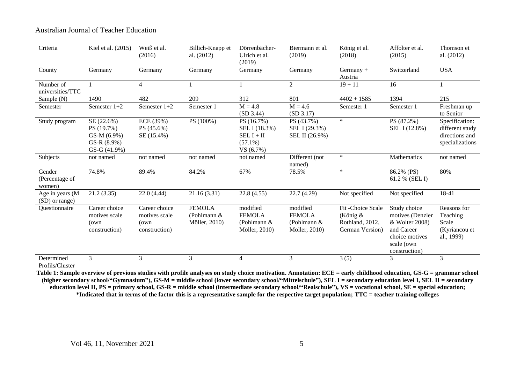| Criteria                           | Kiel et al. (2015)                                                         | Weiß et al.<br>(2016)                                   | Billich-Knapp et<br>al. (2012)                  | Dörrenbächer-<br>Ulrich et al.<br>(2019)                              | Biermann et al.<br>(2019)                                   | König et al.<br>(2018)                                               | Affolter et al.<br>(2015)                                                                                         | Thomson et<br>al. (2012)                                               |
|------------------------------------|----------------------------------------------------------------------------|---------------------------------------------------------|-------------------------------------------------|-----------------------------------------------------------------------|-------------------------------------------------------------|----------------------------------------------------------------------|-------------------------------------------------------------------------------------------------------------------|------------------------------------------------------------------------|
| County                             | Germany                                                                    | Germany                                                 | Germany                                         | Germany                                                               | Germany                                                     | $Germany +$<br>Austria                                               | Switzerland                                                                                                       | <b>USA</b>                                                             |
| Number of<br>universities/TTC      |                                                                            | $\overline{4}$                                          |                                                 |                                                                       | 2                                                           | $19 + 11$                                                            | 16                                                                                                                |                                                                        |
| Sample (N)                         | 1490                                                                       | 482                                                     | 209                                             | 312                                                                   | 801                                                         | $4402 + 1585$                                                        | 1394                                                                                                              | 215                                                                    |
| Semester                           | Semester 1+2                                                               | Semester 1+2                                            | Semester 1                                      | $M = 4.8$<br>(SD 3.44)                                                | $M = 4.6$<br>(SD 3.17)                                      | Semester 1                                                           | Semester 1                                                                                                        | Freshman up<br>to Senior                                               |
| Study program                      | SE (22.6%)<br>PS (19.7%)<br>GS-M (6.9%)<br>GS-R $(8.9\%)$<br>$GS-G(41.9%)$ | ECE (39%)<br>PS (45.6%)<br>SE (15.4%)                   | PS (100%)                                       | PS (16.7%)<br>SEL I (18.3%)<br>$SEL I + II$<br>$(57.1\%)$<br>VS(6.7%) | PS (43.7%)<br>SEL I (29.3%)<br>SEL II (26.9%)               | $\ast$                                                               | PS (87.2%)<br>SEL I (12.8%)                                                                                       | Specification:<br>different study<br>directions and<br>specializations |
| Subjects                           | not named                                                                  | not named                                               | not named                                       | not named                                                             | Different (not<br>named)                                    | $\ast$                                                               | Mathematics                                                                                                       | not named                                                              |
| Gender<br>(Percentage of<br>women) | 74.8%                                                                      | 89.4%                                                   | 84.2%                                           | 67%                                                                   | 78.5%                                                       | $\ast$                                                               | 86.2% (PS)<br>61.2 % (SEL I)                                                                                      | 80%                                                                    |
| Age in years (M<br>(SD) or range)  | 21.2(3.35)                                                                 | 22.0(4.44)                                              | 21.16(3.31)                                     | 22.8(4.55)                                                            | 22.7(4.29)                                                  | Not specified                                                        | Not specified                                                                                                     | 18-41                                                                  |
| Questionnaire                      | Career choice<br>motives scale<br>(own<br>construction)                    | Career choice<br>motives scale<br>(own<br>construction) | <b>FEMOLA</b><br>(Pohlmann $&$<br>Möller, 2010) | modified<br><b>FEMOLA</b><br>(Pohlmann $&$<br>Möller, 2010)           | modified<br><b>FEMOLA</b><br>(Pohlmann $&$<br>Möller, 2010) | Fit-Choice Scale<br>(König $&$<br>Rothland, 2012,<br>German Version) | Study choice<br>motives (Denzler<br>& Wolter 2008)<br>and Career<br>choice motives<br>scale (own<br>construction) | Reasons for<br>Teaching<br>Scale<br>(Kyriancou et<br>al., 1999)        |
| Determined<br>Profils/Cluster      | 3                                                                          | 3                                                       | 3                                               | $\overline{4}$                                                        | 3                                                           | 3(5)                                                                 | 3                                                                                                                 | 3                                                                      |

**Table 1: Sample overview of previous studies with profile analyses on study choice motivation. Annotation: ECE = early childhood education, GS-G = grammar school (higher secondary school/"Gymnasium"), GS-M = middle school (lower secondary school/"Mittelschule"), SEL I = secondary education level I, SEL II = secondary education level II, PS = primary school, GS-R = middle school (intermediate secondary school/"Realschule"), VS = vocational school, SE = special education; \*Indicated that in terms of the factor this is a representative sample for the respective target population; TTC = teacher training colleges**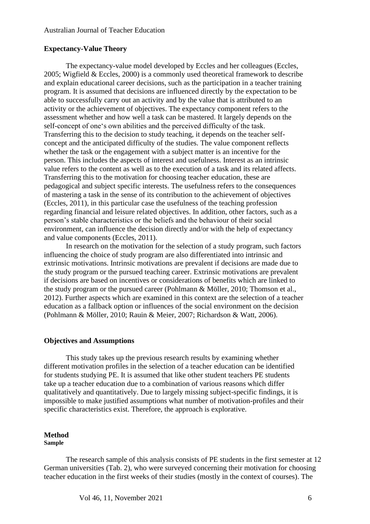#### **Expectancy-Value Theory**

The expectancy-value model developed by Eccles and her colleagues (Eccles, 2005; Wigfield & Eccles, 2000) is a commonly used theoretical framework to describe and explain educational career decisions, such as the participation in a teacher training program. It is assumed that decisions are influenced directly by the expectation to be able to successfully carry out an activity and by the value that is attributed to an activity or the achievement of objectives. The expectancy component refers to the assessment whether and how well a task can be mastered. It largely depends on the self-concept of one's own abilities and the perceived difficulty of the task. Transferring this to the decision to study teaching, it depends on the teacher selfconcept and the anticipated difficulty of the studies. The value component reflects whether the task or the engagement with a subject matter is an incentive for the person. This includes the aspects of interest and usefulness. Interest as an intrinsic value refers to the content as well as to the execution of a task and its related affects. Transferring this to the motivation for choosing teacher education, these are pedagogical and subject specific interests. The usefulness refers to the consequences of mastering a task in the sense of its contribution to the achievement of objectives (Eccles, 2011), in this particular case the usefulness of the teaching profession regarding financial and leisure related objectives. In addition, other factors, such as a person's stable characteristics or the beliefs and the behaviour of their social environment, can influence the decision directly and/or with the help of expectancy and value components (Eccles, 2011).

In research on the motivation for the selection of a study program, such factors influencing the choice of study program are also differentiated into intrinsic and extrinsic motivations. Intrinsic motivations are prevalent if decisions are made due to the study program or the pursued teaching career. Extrinsic motivations are prevalent if decisions are based on incentives or considerations of benefits which are linked to the study program or the pursued career (Pohlmann & Möller, 2010; Thomson et al., 2012). Further aspects which are examined in this context are the selection of a teacher education as a fallback option or influences of the social environment on the decision (Pohlmann & Möller, 2010; Rauin & Meier, 2007; Richardson & Watt, 2006).

#### **Objectives and Assumptions**

This study takes up the previous research results by examining whether different motivation profiles in the selection of a teacher education can be identified for students studying PE. It is assumed that like other student teachers PE students take up a teacher education due to a combination of various reasons which differ qualitatively and quantitatively. Due to largely missing subject-specific findings, it is impossible to make justified assumptions what number of motivation-profiles and their specific characteristics exist. Therefore, the approach is explorative.

## **Method**

## **Sample**

The research sample of this analysis consists of PE students in the first semester at 12 German universities (Tab. 2), who were surveyed concerning their motivation for choosing teacher education in the first weeks of their studies (mostly in the context of courses). The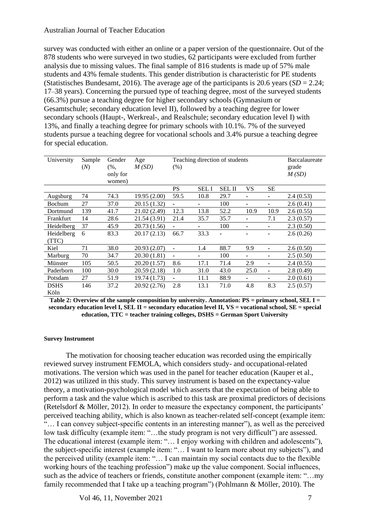survey was conducted with either an online or a paper version of the questionnaire. Out of the 878 students who were surveyed in two studies, 62 participants were excluded from further analysis due to missing values. The final sample of 816 students is made up of 57% male students and 43% female students. This gender distribution is characteristic for PE students (Statistisches Bundesamt, 2016). The average age of the participants is 20.6 years  $(SD = 2.24;$ 17–38 years). Concerning the pursued type of teaching degree, most of the surveyed students (66.3%) pursue a teaching degree for higher secondary schools (Gymnasium or Gesamtschule; secondary education level II), followed by a teaching degree for lower secondary schools (Haupt-, Werkreal-, and Realschule; secondary education level I) with 13%, and finally a teaching degree for primary schools with 10.1%. 7% of the surveyed students pursue a teaching degree for vocational schools and 3.4% pursue a teaching degree for special education.

| University  | Sample | Gender   | Age            |                              | Teaching direction of students |               | Baccalaureate |                |           |
|-------------|--------|----------|----------------|------------------------------|--------------------------------|---------------|---------------|----------------|-----------|
|             | (N)    | $(%$ .   | M(SD)          | $(\%)$                       |                                |               |               |                | grade     |
|             |        | only for |                |                              |                                |               |               |                | M(SD)     |
|             |        | women)   |                |                              |                                |               |               |                |           |
|             |        |          |                | <b>PS</b>                    | <b>SELI</b>                    | <b>SEL II</b> | VS            | <b>SE</b>      |           |
| Augsburg    | 74     | 74.3     | 19.95 (2.00)   | 59.5                         | 10.8                           | 29.7          | ٠             | $\blacksquare$ | 2.4(0.53) |
| Bochum      | 27     | 37.0     | 20.15 (1.32)   | $\qquad \qquad \blacksquare$ | ۰                              | 100           |               | ۰              | 2.6(0.41) |
| Dortmund    | 139    | 41.7     | 21.02 (2.49)   | 12.3                         | 13.8                           | 52.2          | 10.9          | 10.9           | 2.6(0.55) |
| Frankfurt   | 14     | 28.6     | 21.54 (3.91)   | 21.4                         | 35.7                           | 35.7          | ٠             | 7.1            | 2.3(0.57) |
| Heidelberg  | 37     | 45.9     | 20.73 (1.56)   | ۰                            | ۰                              | 100           | ٠             | ۰              | 2.3(0.50) |
| Heidelberg  | 6      | 83.3     | 20.17(2.13)    | 66.7                         | 33.3                           | ٠             |               |                | 2.6(0.26) |
| (TTC)       |        |          |                |                              |                                |               |               |                |           |
| Kiel        | 71     | 38.0     | 20.93 (2.07)   | $\overline{\phantom{m}}$     | 1.4                            | 88.7          | 9.9           |                | 2.6(0.50) |
| Marburg     | 70     | 34.7     | 20.30 (1.81)   | $\qquad \qquad \blacksquare$ | ۰                              | 100           | ۰.            |                | 2.5(0.50) |
| Münster     | 105    | 50.5     | 20.20 $(1.57)$ | 8.6                          | 17.1                           | 71.4          | 2.9           | ۰              | 2.4(0.55) |
| Paderborn   | 100    | 30.0     | 20.59(2.18)    | 1.0                          | 31.0                           | 43.0          | 25.0          | ۰              | 2.8(0.49) |
| Potsdam     | 27     | 51.9     | 19.74 (1.73)   |                              | 11.1                           | 88.9          | ٠             |                | 2.0(0.61) |
| <b>DSHS</b> | 146    | 37.2     | 20.92 (2.76)   | 2.8                          | 13.1                           | 71.0          | 4.8           | 8.3            | 2.5(0.57) |
| Köln        |        |          |                |                              |                                |               |               |                |           |

**Table 2: Overview of the sample composition by university. Annotation: PS = primary school, SEL I = secondary education level I, SEL II = secondary education level II, VS = vocational school, SE = special education, TTC = teacher training colleges, DSHS = German Sport University**

#### **Survey Instrument**

The motivation for choosing teacher education was recorded using the empirically reviewed survey instrument FEMOLA, which considers study- and occupational-related motivations. The version which was used in the panel for teacher education (Kauper et al., 2012) was utilized in this study. This survey instrument is based on the expectancy-value theory, a motivation-psychological model which asserts that the expectation of being able to perform a task and the value which is ascribed to this task are proximal predictors of decisions (Retelsdorf & Möller, 2012). In order to measure the expectancy component, the participants' perceived teaching ability, which is also known as teacher-related self-concept (example item: "… I can convey subject-specific contents in an interesting manner"), as well as the perceived low task difficulty (example item: "…the study program is not very difficult") are assessed. The educational interest (example item: "… I enjoy working with children and adolescents"), the subject-specific interest (example item: "… I want to learn more about my subjects"), and the perceived utility (example item: "… I can maintain my social contacts due to the flexible working hours of the teaching profession") make up the value component. Social influences, such as the advice of teachers or friends, constitute another component (example item: "...my family recommended that I take up a teaching program") (Pohlmann & Möller, 2010). The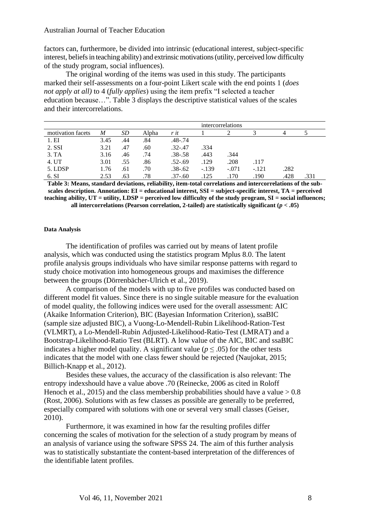factors can, furthermore, be divided into intrinsic (educational interest, subject-specific interest, beliefs in teaching ability) and extrinsic motivations (utility, perceived low difficulty of the study program, social influences).

The original wording of the items was used in this study. The participants marked their self-assessments on a four-point Likert scale with the end points 1 (*does not apply at all)* to 4 (*fully applies*) using the item prefix "I selected a teacher education because…". Table 3 displays the descriptive statistical values of the scales and their intercorrelations.

|                   |      |     | intercorrelations |             |         |         |         |      |      |
|-------------------|------|-----|-------------------|-------------|---------|---------|---------|------|------|
| motivation facets | M    | SD  | Alpha             | r it        |         |         |         |      |      |
| 1.EI              | 3.45 | .44 | .84               | $.48 - .74$ |         |         |         |      |      |
| 2. SSI            | 3.21 | .47 | .60               | $.32 - .47$ | .334    |         |         |      |      |
| 3.TA              | 3.16 | .46 | .74               | $.38 - .58$ | .443    | .344    |         |      |      |
| 4. UT             | 3.01 | .55 | .86               | $.52 - .69$ | .129    | .208    | .117    |      |      |
| 5. LDSP           | 1.76 | .61 | .70               | $.38 - .62$ | $-.139$ | $-.071$ | $-.121$ | .282 |      |
| 6. SI             | 2.53 | .63 | .78               | $.37 - .60$ | .125    | .170    | .190    | .428 | .331 |

**Table 3: Means, standard deviations, reliability, item-total correlations and intercorrelations of the subscales description. Annotation: EI = educational interest, SSI = subject-specific interest, TA = perceived teaching ability, UT = utility, LDSP = perceived low difficulty of the study program, SI = social influences; all intercorrelations (Pearson correlation, 2-tailed) are statistically significant (***p* **< .05)**

#### **Data Analysis**

The identification of profiles was carried out by means of latent profile analysis, which was conducted using the statistics program Mplus 8.0. The latent profile analysis groups individuals who have similar response patterns with regard to study choice motivation into homogeneous groups and maximises the difference between the groups (Dörrenbächer-Ulrich et al., 2019).

A comparison of the models with up to five profiles was conducted based on different model fit values. Since there is no single suitable measure for the evaluation of model quality, the following indices were used for the overall assessment: AIC (Akaike Information Criterion), BIC (Bayesian Information Criterion), ssaBIC (sample size adjusted BIC), a Vuong-Lo-Mendell-Rubin Likelihood-Ration-Test (VLMRT), a Lo-Mendell-Rubin Adjusted-Likelihood-Ratio-Test (LMRAT) and a Bootstrap-Likelihood-Ratio Test (BLRT). A low value of the AIC, BIC and ssaBIC indicates a higher model quality. A significant value ( $p \leq .05$ ) for the other tests indicates that the model with one class fewer should be rejected (Naujokat, 2015; Billich-Knapp et al., 2012).

Besides these values, the accuracy of the classification is also relevant: The entropy indexshould have a value above .70 (Reinecke, 2006 as cited in Roloff Henoch et al., 2015) and the class membership probabilities should have a value  $> 0.8$ (Rost, 2006). Solutions with as few classes as possible are generally to be preferred, especially compared with solutions with one or several very small classes (Geiser, 2010).

Furthermore, it was examined in how far the resulting profiles differ concerning the scales of motivation for the selection of a study program by means of an analysis of variance using the software SPSS 24. The aim of this further analysis was to statistically substantiate the content-based interpretation of the differences of the identifiable latent profiles.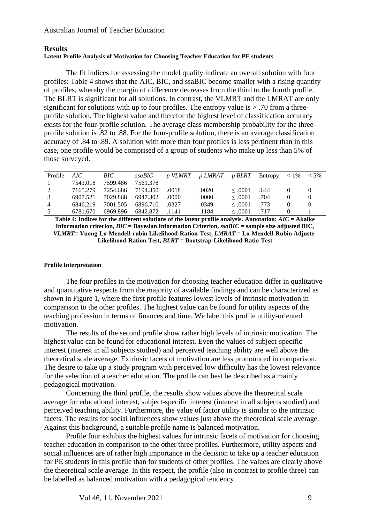## **Results**

## **Latent Profile Analysis of Motivation for Choosing Teacher Education for PE students**

The fit indices for assessing the model quality indicate an overall solution with four profiles: Table 4 shows that the AIC, BIC, and ssaBIC become smaller with a rising quantity of profiles, whereby the margin of difference decreases from the third to the fourth profile. The BLRT is significant for all solutions. In contrast, the VLMRT and the LMRAT are only significant for solutions with up to four profiles. The entropy value is  $> .70$  from a threeprofile solution. The highest value and therefor the highest level of classification accuracy exists for the four-profile solution. The average class membership probability for the threeprofile solution is .82 to .88. For the four-profile solution, there is an average classification accuracy of .84 to .89. A solution with more than four profiles is less pertinent than in this case, one profile would be comprised of a group of students who make up less than 5% of those surveyed.

| Profile | AIC      | BIC      | ssaBIC   | p VLMRT | <i>v LMRAT</i> | p BLRT       | Entropy | $< 1\%$ | $< 5\%$ |
|---------|----------|----------|----------|---------|----------------|--------------|---------|---------|---------|
|         | 7543.018 | 7599.486 | 7561.378 |         |                |              |         |         |         |
|         | 7165.279 | 7254.686 | 7194.350 | .0018   | .0020          | $\leq 0.001$ | .644    |         |         |
|         | 6907.521 | 7029.868 | 6947.302 | .0000   | .0000          | $\leq 0.001$ | .704    |         |         |
| 4       | 6846.219 | 7001.505 | 6896.710 | 0327    | .0349          | $\leq 0.001$ | .773    |         |         |
|         | 6781.670 | 6969.896 | 6842.872 | 1141    | .1184          | $\leq 0.001$ | .717    |         |         |

**Table 4: Indices for the different solutions of the latent profile analysis. Annotation:** *AIC* **= Akaike Information criterion,** *BIC* **= Bayesian Information Criterion,** *ssaBIC* **= sample size adjusted BIC,**  *VLMRT***= Vuong-Lo-Mendell-rubin Likelihood-Ration-Test,** *LMRAT* **= Lo-Mendell-Rubin Adjuste-Likelihood-Ration-Test,** *BLRT* **= Bootstrap-Likelihood-Ratio-Test**

#### **Profile Interpretation**

The four profiles in the motivation for choosing teacher education differ in qualitative and quantitative respects from the majority of available findings and can be characterized as shown in Figure 1, where the first profile features lowest levels of intrinsic motivation in comparison to the other profiles. The highest value can be found for utility aspects of the teaching profession in terms of finances and time. We label this profile utility-oriented motivation.

The results of the second profile show rather high levels of intrinsic motivation. The highest value can be found for educational interest. Even the values of subject-specific interest (interest in all subjects studied) and perceived teaching ability are well above the theoretical scale average. Extrinsic facets of motivation are less pronounced in comparison. The desire to take up a study program with perceived low difficulty has the lowest relevance for the selection of a teacher education. The profile can best be described as a mainly pedagogical motivation.

Concerning the third profile, the results show values above the theoretical scale average for educational interest, subject-specific interest (interest in all subjects studied) and perceived teaching ability. Furthermore, the value of factor utility is similar to the intrinsic facets. The results for social influences show values just above the theoretical scale average. Against this background, a suitable profile name is balanced motivation.

Profile four exhibits the highest values for intrinsic facets of motivation for choosing teacher education in comparison to the other three profiles. Furthermore, utility aspects and social influences are of rather high importance in the decision to take up a teacher education for PE students in this profile than for students of other profiles. The values are clearly above the theoretical scale average. In this respect, the profile (also in contrast to profile three) can be labelled as balanced motivation with a pedagogical tendency.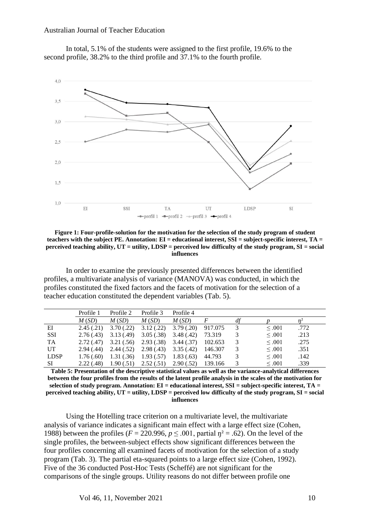



**Figure 1: Four-profile-solution for the motivation for the selection of the study program of student teachers with the subject PE. Annotation: EI = educational interest, SSI = subject-specific interest, TA = perceived teaching ability, UT = utility, LDSP = perceived low difficulty of the study program, SI = social influences**

In order to examine the previously presented differences between the identified profiles, a multivariate analysis of variance (MANOVA) was conducted, in which the profiles constituted the fixed factors and the facets of motivation for the selection of a teacher education constituted the dependent variables (Tab. 5).

|             | Profile 1  | Profile 2  | Profile 3               | Profile 4  |         |             |      |
|-------------|------------|------------|-------------------------|------------|---------|-------------|------|
|             | M(SD)      | M(SD)      | M(SD)                   | M(SD)      |         |             |      |
| EI          | 2.45(.21)  | 3.70(.22)  | 3.12(.22)               | 3.79(.20)  | 917.075 | $\leq .001$ | .772 |
| <b>SSI</b>  | 2.76(.43)  | 3.13(0.49) | 3.05(.38)               | 3.48(.42)  | 73.319  | $\leq .001$ | .213 |
| TA          | 2.72(0.47) | 3.21(.56)  | 2.93(0.38)              | 3.44 (.37) | 102.653 | $\leq .001$ | .275 |
| UT          | 2.94(0.44) | 2.44(.52)  | $2.98(.43)$ $3.35(.42)$ |            | 146.307 | $\leq .001$ | .351 |
| <b>LDSP</b> | 1.76(.60)  | 1.31(.36)  | 1.93(.57)               | 1.83(0.63) | 44.793  | $\leq .001$ | .142 |
| <b>SI</b>   | 2.22(0.48) | 1.90(.51)  | 2.52(.51)               | 2.90(.52)  | 139.166 | $\leq .001$ | .339 |

**Table 5: Presentation of the descriptive statistical values as well as the variance-analytical differences between the four profiles from the results of the latent profile analysis in the scales of the motivation for selection of study program. Annotation: EI = educational interest, SSI = subject-specific interest, TA = perceived teaching ability, UT = utility, LDSP = perceived low difficulty of the study program, SI = social influences**

Using the Hotelling trace criterion on a multivariate level, the multivariate analysis of variance indicates a significant main effect with a large effect size (Cohen, 1988) between the profiles ( $F = 220.996$ ,  $p \le 0.001$ , partial  $\eta^2 = 0.62$ ). On the level of the single profiles, the between-subject effects show significant differences between the four profiles concerning all examined facets of motivation for the selection of a study program (Tab. 3). The partial eta-squared points to a large effect size (Cohen, 1992). Five of the 36 conducted Post-Hoc Tests (Scheffé) are not significant for the comparisons of the single groups. Utility reasons do not differ between profile one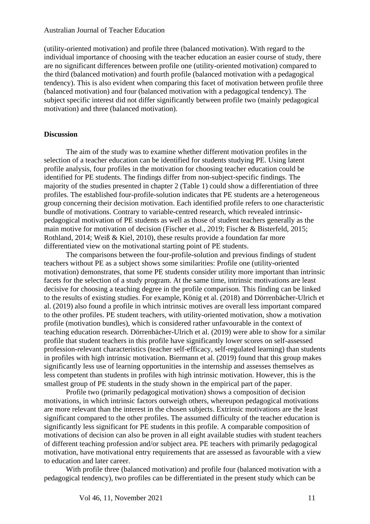(utility-oriented motivation) and profile three (balanced motivation). With regard to the individual importance of choosing with the teacher education an easier course of study, there are no significant differences between profile one (utility-oriented motivation) compared to the third (balanced motivation) and fourth profile (balanced motivation with a pedagogical tendency). This is also evident when comparing this facet of motivation between profile three (balanced motivation) and four (balanced motivation with a pedagogical tendency). The subject specific interest did not differ significantly between profile two (mainly pedagogical motivation) and three (balanced motivation).

#### **Discussion**

The aim of the study was to examine whether different motivation profiles in the selection of a teacher education can be identified for students studying PE. Using latent profile analysis, four profiles in the motivation for choosing teacher education could be identified for PE students. The findings differ from non-subject-specific findings. The majority of the studies presented in chapter 2 (Table 1) could show a differentiation of three profiles. The established four-profile-solution indicates that PE students are a heterogeneous group concerning their decision motivation. Each identified profile refers to one characteristic bundle of motivations. Contrary to variable-centred research, which revealed intrinsicpedagogical motivation of PE students as well as those of student teachers generally as the main motive for motivation of decision (Fischer et al., 2019; Fischer & Bisterfeld, 2015; Rothland, 2014; Weiß & Kiel, 2010), these results provide a foundation far more differentiated view on the motivational starting point of PE students.

The comparisons between the four-profile-solution and previous findings of student teachers without PE as a subject shows some similarities: Profile one (utility-oriented motivation) demonstrates, that some PE students consider utility more important than intrinsic facets for the selection of a study program. At the same time, intrinsic motivations are least decisive for choosing a teaching degree in the profile comparison. This finding can be linked to the results of existing studies. For example, König et al. (2018) and Dörrenbächer-Ulrich et al. (2019) also found a profile in which intrinsic motives are overall less important compared to the other profiles. PE student teachers, with utility-oriented motivation, show a motivation profile (motivation bundles), which is considered rather unfavourable in the context of teaching education research. Dörrenbächer-Ulrich et al. (2019) were able to show for a similar profile that student teachers in this profile have significantly lower scores on self-assessed profession-relevant characteristics (teacher self-efficacy, self-regulated learning) than students in profiles with high intrinsic motivation. Biermann et al. (2019) found that this group makes significantly less use of learning opportunities in the internship and assesses themselves as less competent than students in profiles with high intrinsic motivation. However, this is the smallest group of PE students in the study shown in the empirical part of the paper.

Profile two (primarily pedagogical motivation) shows a composition of decision motivations, in which intrinsic factors outweigh others, whereupon pedagogical motivations are more relevant than the interest in the chosen subjects. Extrinsic motivations are the least significant compared to the other profiles. The assumed difficulty of the teacher education is significantly less significant for PE students in this profile. A comparable composition of motivations of decision can also be proven in all eight available studies with student teachers of different teaching profession and/or subject area. PE teachers with primarily pedagogical motivation, have motivational entry requirements that are assessed as favourable with a view to education and later career.

With profile three (balanced motivation) and profile four (balanced motivation with a pedagogical tendency), two profiles can be differentiated in the present study which can be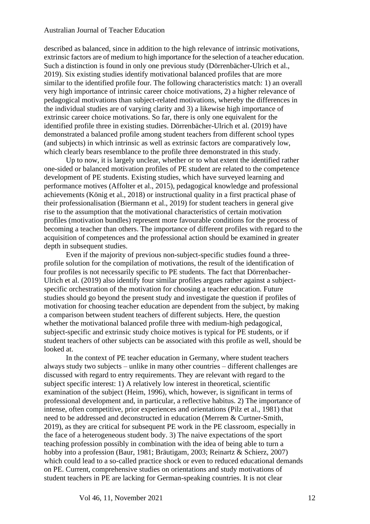described as balanced, since in addition to the high relevance of intrinsic motivations, extrinsic factors are of medium to high importance for the selection of a teacher education. Such a distinction is found in only one previous study (Dörrenbächer-Ulrich et al., 2019). Six existing studies identify motivational balanced profiles that are more similar to the identified profile four. The following characteristics match: 1) an overall very high importance of intrinsic career choice motivations, 2) a higher relevance of pedagogical motivations than subject-related motivations, whereby the differences in the individual studies are of varying clarity and 3) a likewise high importance of extrinsic career choice motivations. So far, there is only one equivalent for the identified profile three in existing studies. Dörrenbächer-Ulrich et al. (2019) have demonstrated a balanced profile among student teachers from different school types (and subjects) in which intrinsic as well as extrinsic factors are comparatively low, which clearly bears resemblance to the profile three demonstrated in this study.

Up to now, it is largely unclear, whether or to what extent the identified rather one-sided or balanced motivation profiles of PE student are related to the competence development of PE students. Existing studies, which have surveyed learning and performance motives (Affolter et al., 2015), pedagogical knowledge and professional achievements (König et al., 2018) or instructional quality in a first practical phase of their professionalisation (Biermann et al., 2019) for student teachers in general give rise to the assumption that the motivational characteristics of certain motivation profiles (motivation bundles) represent more favourable conditions for the process of becoming a teacher than others. The importance of different profiles with regard to the acquisition of competences and the professional action should be examined in greater depth in subsequent studies.

Even if the majority of previous non-subject-specific studies found a threeprofile solution for the compilation of motivations, the result of the identification of four profiles is not necessarily specific to PE students. The fact that Dörrenbacher-Ulrich et al. (2019) also identify four similar profiles argues rather against a subjectspecific orchestration of the motivation for choosing a teacher education. Future studies should go beyond the present study and investigate the question if profiles of motivation for choosing teacher education are dependent from the subject, by making a comparison between student teachers of different subjects. Here, the question whether the motivational balanced profile three with medium-high pedagogical, subject-specific and extrinsic study choice motives is typical for PE students, or if student teachers of other subjects can be associated with this profile as well, should be looked at.

In the context of PE teacher education in Germany, where student teachers always study two subjects – unlike in many other countries – different challenges are discussed with regard to entry requirements. They are relevant with regard to the subject specific interest: 1) A relatively low interest in theoretical, scientific examination of the subject (Heim, 1996), which, however, is significant in terms of professional development and, in particular, a reflective habitus. 2) The importance of intense, often competitive, prior experiences and orientations (Pilz et al., 1981) that need to be addressed and deconstructed in education (Merrem & Curtner-Smith, 2019), as they are critical for subsequent PE work in the PE classroom, especially in the face of a heterogeneous student body. 3) The naive expectations of the sport teaching profession possibly in combination with the idea of being able to turn a hobby into a profession (Baur, 1981; Bräutigam, 2003; Reinartz & Schierz, 2007) which could lead to a so-called practice shock or even to reduced educational demands on PE. Current, comprehensive studies on orientations and study motivations of student teachers in PE are lacking for German-speaking countries. It is not clear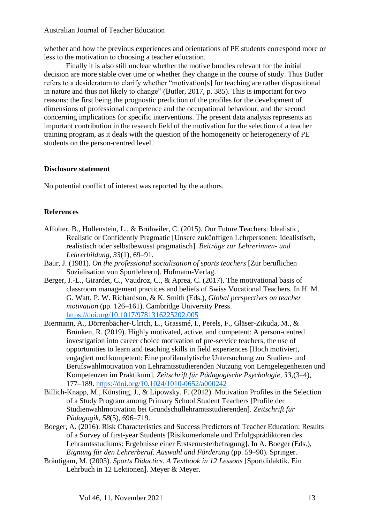whether and how the previous experiences and orientations of PE students correspond more or less to the motivation to choosing a teacher education.

Finally it is also still unclear whether the motive bundles relevant for the initial decision are more stable over time or whether they change in the course of study. Thus Butler refers to a desideratum to clarify whether "motivation[s] for teaching are rather dispositional in nature and thus not likely to change" (Butler, 2017, p. 385). This is important for two reasons: the first being the prognostic prediction of the profiles for the development of dimensions of professional competence and the occupational behaviour, and the second concerning implications for specific interventions. The present data analysis represents an important contribution in the research field of the motivation for the selection of a teacher training program, as it deals with the question of the homogeneity or heterogeneity of PE students on the person-centred level.

## **Disclosure statement**

No potential conflict of interest was reported by the authors.

## **References**

- Affolter, B., Hollenstein, L., & Brühwiler, C. (2015). Our Future Teachers: Idealistic, Realistic or Confidently Pragmatic [Unsere zukünftigen Lehrpersonen: Idealistisch, realistisch oder selbstbewusst pragmatisch]. *Beiträge zur Lehrerinnen- und Lehrerbildung, 33*(1), 69–91.
- Baur, J. (1981). *On the professional socialisation of sports teachers* [Zur beruflichen Sozialisation von Sportlehrern]. Hofmann-Verlag.
- Berger, J.-L., Girardet, C., Vaudroz, C., & Aprea, C. (2017). The motivational basis of classroom management practices and beliefs of Swiss Vocational Teachers. In H. M. G. Watt, P. W. Richardson, & K. Smith (Eds.), *Global perspectives on teacher motivation* (pp. 126–161). Cambridge University Press. <https://doi.org/10.1017/9781316225202.005>
- Biermann, A., Dörrenbächer-Ulrich, L., Grassmé, I., Perels, F., Gläser-Zikuda, M., & Brünken, R. (2019). Highly motivated, active, and competent: A person-centred investigation into career choice motivation of pre-service teachers, the use of opportunities to learn and teaching skills in field experiences [\[Hoch motiviert,](https://econtent.hogrefe.com/doi/full/10.1024/1010-0652/a000242)  [engagiert und kompetent: Eine profilanalytische Untersuchung zur Studien-](https://econtent.hogrefe.com/doi/full/10.1024/1010-0652/a000242) und [Berufswahlmotivation von Lehramtsstudierenden](https://econtent.hogrefe.com/doi/full/10.1024/1010-0652/a000242) Nutzung von Lerngelegenheiten und Kompetenzen im Praktikum]. *Zeitschrift für Pädagogische Psychologie, 33,*(3–4), 177–189. <https://doi.org/10.1024/1010-0652/a000242>
- Billich-Knapp, M., Künsting, J., & Lipowsky. F. (2012). Motivation Profiles in the Selection of a Study Program among Primary School Student Teachers [Profile der Studienwahlmotivation bei Grundschullehramtsstudierenden]. *Zeitschrift für Pädagogik, 58*(5), 696–719.
- Boeger, A. (2016). Risk Characteristics and Success Predictors of Teacher Education: Results of a Survey of first-year Students [Risikomerkmale und Erfolgsprädiktoren des Lehramtsstudiums: Ergebnisse einer Erstsemesterbefragung]. In A. Boeger (Eds.), *Eignung für den Lehrerberuf. Auswahl und Förderung* (pp. 59–90). Springer.
- Bräutigam, M. (2003). *Sports Didactics. A Textbook in 12 Lessons* [Sportdidaktik. Ein Lehrbuch in 12 Lektionen]. Meyer & Meyer.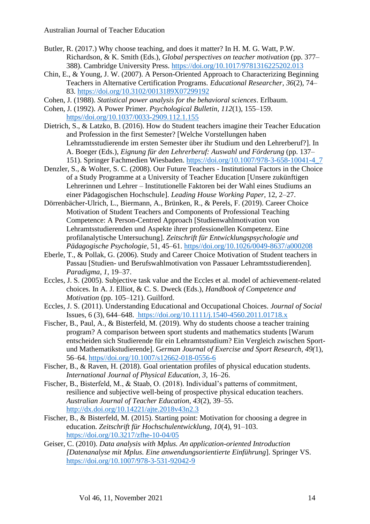- Butler, R. (2017.) Why choose teaching, and does it matter? In H. M. G. Watt, P.W. Richardson, & K. Smith (Eds.), *Global perspectives on teacher motivation* (pp. 377– 388). Cambridge University Press. <https://doi.org/10.1017/9781316225202.013>
- Chin, E., & Young, J. W. (2007). A Person-Oriented Approach to Characterizing Beginning Teachers in Alternative Certification Programs. *Educational Researcher, 36*(2), 74– 83.<https://doi.org/10.3102/0013189X07299192>
- Cohen, J. (1988). *Statistical power analysis for the behavioral sciences*. Erlbaum.
- Cohen, J. (1992). A Power Primer. *Psychological Bulletin, 112*(1), 155–159. [https//doi.org/10.1037/0033-2909.112.1.155](https://doi.org/10.1037/0033-2909.112.1.155)
- Dietrich, S., & Latzko, B. (2016). How do Student teachers imagine their Teacher Education and Profession in the first Semester? [Welche Vorstellungen haben Lehramtsstudierende im ersten Semester über ihr Studium und den Lehrerberuf?]. In A. Boeger (Eds.), *Eignung für den Lehrerberuf: Auswahl und Förderung* (pp. 137– 151). Springer Fachmedien Wiesbaden. [https://doi.org/10.1007/978-3-658-10041-4\\_7](https://doi.org/10.1007/978-3-658-10041-4_7)
- Denzler, S., & Wolter, S. C. (2008). Our Future Teachers Institutional Factors in the Choice of a Study Programme at a University of Teacher Education [Unsere zukünftigen Lehrerinnen und Lehrer – Institutionelle Faktoren bei der Wahl eines Studiums an einer Pädagogischen Hochschule]. *Leading House Working Paper*, 12, 2–27.
- Dörrenbächer-Ulrich, L., Biermann, A., Brünken, R., & Perels, F. (2019). Career Choice Motivation of Student Teachers and Components of Professional Teaching Competence: A Person-Centred Approach [Studienwahlmotivation von Lehramtsstudierenden und Aspekte ihrer professionellen Kompetenz. Eine profilanalytische Untersuchung]. *Zeitschrift für Entwicklungspsychologie und Pädagogische Psychologie*, 51, 45–61. [https//doi.org/10.1026/0049-8637/a000208](https://doi.org/10.1026/0049-8637/a000208)
- Eberle, T., & Pollak, G. (2006). Study and Career Choice Motivation of Student teachers in Passau [Studien- und Berufswahlmotivation von Passauer Lehramtsstudierenden]. *Paradigma, 1*, 19–37.
- Eccles, J. S. (2005). Subjective task value and the Eccles et al. model of achievement-related choices. In A. J. Elliot, & C. S. Dweck (Eds.), *Handbook of Competence and Motivation* (pp. 105–121). Guilford.
- Eccles, J. S. (2011). Understanding Educational and Occupational Choices. *Journal of Social*  Issues, 6 (3), 644–648. <https://doi.org/10.1111/j.1540-4560.2011.01718.x>
- Fischer, B., Paul, A., & Bisterfeld, M. (2019). Why do students choose a teacher training program? A comparison between sport students and mathematics students [Warum entscheiden sich Studierende für ein Lehramtsstudium? Ein Vergleich zwischen Sportund Mathematikstudierende]. G*erman Journal of Exercise and Sport Research, 49(*1), 56–64. [https//doi.org/10.1007/s12662-018-0556-6](https://doi.org/10.1007/s12662-018-0556-6)
- Fischer, B., & Raven, H. (2018). Goal orientation profiles of physical education students. *International Journal of Physical Education, 3*, 16–26.
- Fischer, B., Bisterfeld, M., & Staab, O. (2018). Individual's patterns of commitment, resilience and subjective well-being of prospective physical education teachers. *Australian Journal of Teacher Education, 43*(2), 39–55. <http://dx.doi.org/10.14221/ajte.2018v43n2.3>
- Fischer, B., & Bisterfeld, M. (2015). Starting point: Motivation for choosing a degree in education. *Zeitschrift für Hochschulentwicklung, 10*(4), 91–103. <https://doi.org/10.3217/zfhe-10-04/05>
- Geiser, C. (2010). *Data analysis with Mplus. An application-oriented Introduction [Datenanalyse mit Mplus. Eine anwendungsorientierte Einführung*]. Springer VS. <https://doi.org/10.1007/978-3-531-92042-9>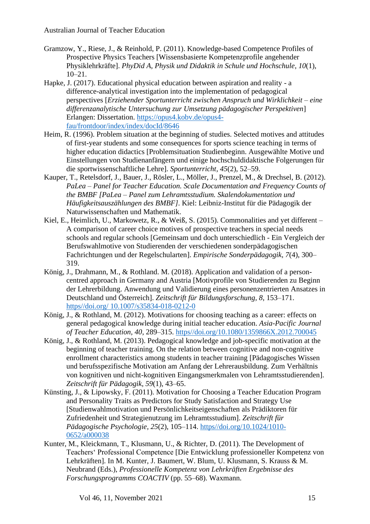- Gramzow, Y., Riese, J., & Reinhold, P. (2011). Knowledge-based Competence Profiles of Prospective Physics Teachers [Wissensbasierte Kompetenzprofile angehender Physiklehrkräfte]. *PhyDid A, Physik und Didaktik in Schule und Hochschule, 10*(1), 10–21.
- Hapke, J. (2017). Educational physical education between aspiration and reality a difference-analytical investigation into the implementation of pedagogical perspectives [*Erziehender Sportunterricht zwischen Anspruch und Wirklichkeit – eine differenzanalytische Untersuchung zur Umsetzung pädagogischer Perspektiven*] Erlangen: Dissertation. [https://opus4.kobv.de/opus4](https://opus4.kobv.de/opus4-fau/frontdoor/index/index/docId/8646) [fau/frontdoor/index/index/docId/8646](https://opus4.kobv.de/opus4-fau/frontdoor/index/index/docId/8646)
- Heim, R. (1996). Problem situation at the beginning of studies. Selected motives and attitudes of first-year students and some consequences for sports science teaching in terms of higher education didactics [Problemsituation Studienbeginn. Ausgewählte Motive und Einstellungen von Studienanfängern und einige hochschuldidaktische Folgerungen für die sportwissenschaftliche Lehre]. *Sportunterricht, 45*(2), 52–59.
- Kauper, T., Retelsdorf, J., Bauer, J., Rösler, L., Möller, J., Prenzel, M., & Drechsel, B. (2012). *PaLea – Panel for Teacher Education. Scale Documentation and Frequency Counts of the BMBF [PaLea* – *Panel zum Lehramtsstudium. Skalendokumentation und Häufigkeitsauszählungen des BMBF]*. Kiel: Leibniz-Institut für die Pädagogik der Naturwissenschaften und Mathematik.
- Kiel, E., Heimlich, U., Markowetz, R., & Weiß, S. (2015). Commonalities and yet different A comparison of career choice motives of prospective teachers in special needs schools and regular schools [Gemeinsam und doch unterschiedlich - Ein Vergleich der Berufswahlmotive von Studierenden der verschiedenen sonderpädagogischen Fachrichtungen und der Regelschularten]. *Empirische Sonderpädagogik*, *7*(4), 300– 319.
- König, J., Drahmann, M., & Rothland. M. (2018). Application and validation of a personcentred approach in Germany and Austria [Motivprofile von Studierenden zu Beginn der Lehrerbildung. Anwendung und Validierung eines personenzentrierten Ansatzes in Deutschland und Österreich]. *Zeitschrift für Bildungsforschung, 8*, 153–171. https//doi.org/ [10.1007/s35834-018-0212-0](file:///C:/Users/mgole_02/AppData/Local/Microsoft/Windows/INetCache/Content.Outlook/NLA2NPKN/https/doi.org/%2010.1007/s35834-018-0212-0)
- König, J., & Rothland, M. (2012). Motivations for choosing teaching as a career: effects on general pedagogical knowledge during initial teacher education. *Asia-Pacific Journal of Teacher Education, 40*, 289–315. [https//doi.org/10.1080/1359866X.2012.700045](https://doi.org/10.1080/1359866X.2012.700045)
- König, J., & Rothland, M. (2013). Pedagogical knowledge and job-specific motivation at the beginning of teacher training. On the relation between cognitive and non-cognitive enrollment characteristics among students in teacher training [Pädagogisches Wissen und berufsspezifische Motivation am Anfang der Lehrerausbildung. Zum Verhältnis von kognitiven und nicht-kognitiven Eingangsmerkmalen von Lehramtsstudierenden]. *Zeitschrift für Pädagogik, 59*(1), 43–65.
- Künsting, J., & Lipowsky, F. (2011). Motivation for Choosing a Teacher Education Program and Personality Traits as Predictors for Study Satisfaction and Strategy Use [Studienwahlmotivation und Persönlichkeitseigenschaften als Prädiktoren für Zufriedenheit und Strategienutzung im Lehramtsstudium]. *Zeitschrift für Pädagogische Psychologie, 25*(2), 105–114. [https//doi.org/10.1024/1010-](https://doi.org/10.1024/1010-0652/a000038) [0652/a000038](https://doi.org/10.1024/1010-0652/a000038)
- Kunter, M., Kleickmann, T., Klusmann, U., & Richter, D. (2011). The Development of Teachers' Professional Competence [Die Entwicklung professioneller Kompetenz von Lehrkräften]. In M. Kunter, J. Baumert, W. Blum, U. Klusmann, S. Krauss & M. Neubrand (Eds.), *Professionelle Kompetenz von Lehrkräften Ergebnisse des Forschungsprogramms COACTIV* (pp. 55–68). Waxmann.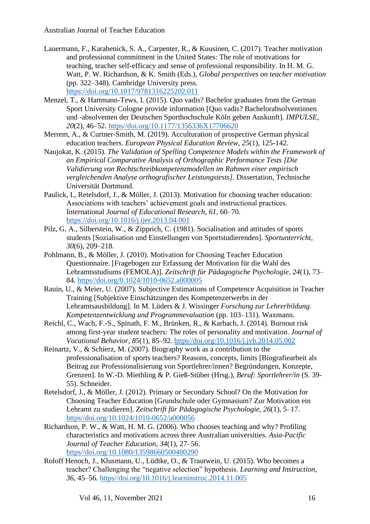- Lauermann, F., Karabenick, S. A., Carpenter, R., & Kuusinen, C. (2017). Teacher motivation and professional commitment in the United States: The role of motivations for teaching, teacher self-efficacy and sense of professional responsibility. In H. M. G. Watt, P. W. Richardson, & K. Smith (Eds.), *Global perspectives on teacher motivation* (pp. 322–348). Cambridge University press. <https://doi.org/10.1017/9781316225202.011>
- Menzel, T., & Hartmann-Tews, I. (2015). Quo vadis? Bachelor graduates from the German Sport University Cologne provide information [Quo vadis? Bachelorabsolventinnen und -absolventen der Deutschen Sporthochschule Köln geben Auskunft]. *IMPULSE, 20*(2), 46–52. [https//doi.org/10.1177/1356336X17706620](doi:10.1177/1356336X17706620)
- Merrem, A., & Curtner-Smith, M. (2019). Acculturation of prospective German physical education teachers. *European Physical Education Review, 25*(1), 125-142.
- Naujokat, K. (2015). *The Validation of Spelling Competence Models within the Framework of an Empirical Comparative Analysis of Orthographic Performance Tests [Die Validierung von Rechtschreibkompetenzmodellen im Rahmen einer empirisch vergleichenden Analyse orthografischer Leistungstests].* Dissertation, Technische Universität Dortmund.
- Paulick, I., Retelsdorf, J., & Möller, J. (2013). Motivation for choosing teacher education: Associations with teachers' achievement goals and instructional practices. International *Journal of Educational Research*, *61*, 60–70. <https://doi.org/10.1016/j.ijer.2013.04.001>
- Pilz, G. A., Silberstein, W., & Zipprich, C. (1981). Socialisation and attitudes of sports students [Sozialisation und Einstellungen von Sportstudierenden]. *Sportunterricht, 30*(6), 209–218.
- Pohlmann, B., & Möller, J. (2010). Motivation for Choosing Teacher Education Questionnaire. [Fragebogen zur Erfassung der Motivation für die Wahl des Lehramtsstudiums (FEMOLA)]. *Zeitschrift für Pädagogische Psychologie, 24*(1), 73– 84. [https//doi.org/0.1024/1010-0652.a000005](file:///C:/Users/mgole_02/AppData/Local/Microsoft/Windows/INetCache/Content.Outlook/NLA2NPKN/https/doi.org/0.1024/1010-0652.a000005)
- Rauin, U., & Meier, U. (2007). Subjective Estimations of Competence Acquisition in Teacher Training [Subjektive Einschätzungen des Kompetenzerwerbs in der Lehramtsausbildung]. In M. Lüders & J. Wissinger *Forschung zur Lehrerbildung. Kompetenzentwicklung und Programmevaluation* (pp. 103–131). Waxmann.
- Reichl, C., Wach, F.-S., Spinath, F. M., Brünken, R., & Karbach, J. (2014). Burnout risk among first-year student teachers: The roles of personality and motivation. *Journal of Vocational Behavior, 85*(1), 85–92. [https//doi.org/10.1016/j.jvb.2014.05.002](https://doi.org/10.1016/j.jvb.2014.05.002)
- Reinartz, V., & Schierz, M. (2007). Biography work as a contribution to the professionalisation of sports teachers? Reasons, concepts, limits [Biografiearbeit als Beitrag zur Professionalisierung von Sportlehrer/innen? Begründungen, Konzepte, Grenzen]. In W.-D. Miethling & P. Gieß-Stüber (Hrsg.), *Beruf: Sportlehrer/in* (S. 39- 55). Schneider.
- Retelsdorf, J., & Möller, J. (2012). Primary or Secondary School? On the Motivation for Choosing Teacher Education [Grundschule oder Gymnasium? Zur Motivation ein Lehramt zu studieren]. *Zeitschrift für Pädagogische Psychologie, 26*(1), 5–17. [https//doi.org/10.1024/1010-0652/a000056](https://doi.org/10.1024/1010-0652/a000056)
- Richardson, P. W., & Watt, H. M. G. (2006). Who chooses teaching and why? Profiling characteristics and motivations across three Australian universities. *Asia-Pacific Journal of Teacher Education, 34*(1), 27–56. [https//doi.org/10.1080/13598660500480290](https://doi.org/10.1080/13598660500480290)
- Roloff Henoch, J., Klusmann, U., Lüdtke, O., & Trautwein, U. (2015). Who becomes a teacher? Challenging the "negative selection" hypothesis. *Learning and Instruction, 36*, 45–56. [https//doi.org/10.1016/j.learninstruc.2014.11.005](https://doi.org/10.1016/j.learninstruc.2014.11.005)